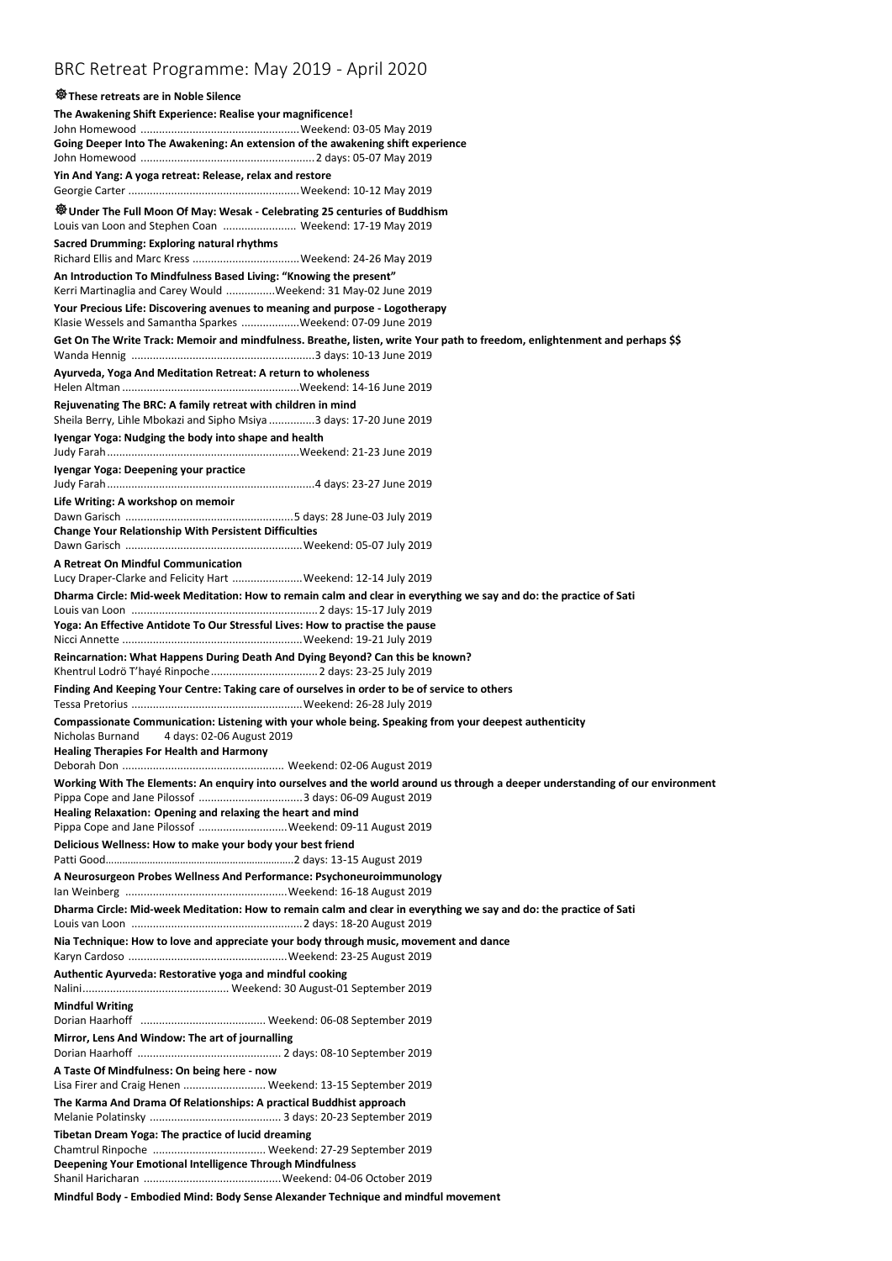## BRC Retreat Programme: May 2019 - April 2020

## **These retreats are in Noble Silence The Awakening Shift Experience: Realise your magnificence!** John Homewood ....................................................Weekend: 03-05 May 2019 **Going Deeper Into The Awakening: An extension of the awakening shift experience** John Homewood .........................................................2 days: 05-07 May 2019 **Yin And Yang: A yoga retreat: Release, relax and restore**  Georgie Carter ........................................................Weekend: 10-12 May 2019 **Under The Full Moon Of May: Wesak - Celebrating 25 centuries of Buddhism** Louis van Loon and Stephen Coan ........................ Weekend: 17-19 May 2019 **Sacred Drumming: Exploring natural rhythms** Richard Ellis and Marc Kress ...................................Weekend: 24-26 May 2019 **An Introduction To Mindfulness Based Living: "Knowing the present"** Kerri Martinaglia and Carey Would ................Weekend: 31 May-02 June 2019 **Your Precious Life: Discovering avenues to meaning and purpose - Logotherapy** Klasie Wessels and Samantha Sparkes ...................Weekend: 07-09 June 2019 **Get On The Write Track: Memoir and mindfulness. Breathe, listen, write Your path to freedom, enlightenment and perhaps \$\$** Wanda Hennig ............................................................3 days: 10-13 June 2019 **Ayurveda, Yoga And Meditation Retreat: A return to wholeness** Helen Altman ..........................................................Weekend: 14-16 June 2019 **Rejuvenating The BRC: A family retreat with children in mind** Sheila Berry, Lihle Mbokazi and Sipho Msiya ...............3 days: 17-20 June 2019 **Iyengar Yoga: Nudging the body into shape and health** Judy Farah...............................................................Weekend: 21-23 June 2019 **Iyengar Yoga: Deepening your practice** Judy Farah....................................................................4 days: 23-27 June 2019 **Life Writing: A workshop on memoir** Dawn Garisch .......................................................5 days: 28 June-03 July 2019 **Change Your Relationship With Persistent Difficulties** Dawn Garisch ..........................................................Weekend: 05-07 July 2019 **A Retreat On Mindful Communication** Lucy Draper-Clarke and Felicity Hart .......................Weekend: 12-14 July 2019 **Dharma Circle: Mid-week Meditation: How to remain calm and clear in everything we say and do: the practice of Sati** Louis van Loon .............................................................2 days: 15-17 July 2019 **Yoga: An Effective Antidote To Our Stressful Lives: How to practise the pause** Nicci Annette ...........................................................Weekend: 19-21 July 2019 **Reincarnation: What Happens During Death And Dying Beyond? Can this be known?** Khentrul Lodrö T'hayé Rinpoche...................................2 days: 23-25 July 2019 **Finding And Keeping Your Centre: Taking care of ourselves in order to be of service to others**  Tessa Pretorius ........................................................Weekend: 26-28 July 2019 **Compassionate Communication: Listening with your whole being. Speaking from your deepest authenticity** Nicholas Burnand 4 days: 02-06 August 2019 **Healing Therapies For Health and Harmony** Deborah Don ..................................................... Weekend: 02-06 August 2019 **Working With The Elements: An enquiry into ourselves and the world around us through a deeper understanding of our environment**  Pippa Cope and Jane Pilossof ..................................3 days: 06-09 August 2019 **Healing Relaxation: Opening and relaxing the heart and mind** Pippa Cope and Jane Pilossof .............................Weekend: 09-11 August 2019 **Delicious Wellness: How to make your body your best friend** Patti Good…………………………………………………………..2 days: 13-15 August 2019 **A Neurosurgeon Probes Wellness And Performance: Psychoneuroimmunology** Ian Weinberg .....................................................Weekend: 16-18 August 2019 **Dharma Circle: Mid-week Meditation: How to remain calm and clear in everything we say and do: the practice of Sati**  Louis van Loon ........................................................2 days: 18-20 August 2019 **Nia Technique: How to love and appreciate your body through music, movement and dance**  Karyn Cardoso ....................................................Weekend: 23-25 August 2019 **Authentic Ayurveda: Restorative yoga and mindful cooking**  Nalini................................................ Weekend: 30 August-01 September 2019 **Mindful Writing**  Dorian Haarhoff ......................................... Weekend: 06-08 September 2019 **Mirror, Lens And Window: The art of journalling**  Dorian Haarhoff ............................................... 2 days: 08-10 September 2019 **A Taste Of Mindfulness: On being here - now**  Lisa Firer and Craig Henen ........................... Weekend: 13-15 September 2019 **The Karma And Drama Of Relationships: A practical Buddhist approach** Melanie Polatinsky ........................................... 3 days: 20-23 September 2019 **Tibetan Dream Yoga: The practice of lucid dreaming**  Chamtrul Rinpoche ..................................... Weekend: 27-29 September 2019 **Deepening Your Emotional Intelligence Through Mindfulness** Shanil Haricharan .............................................Weekend: 04-06 October 2019 **Mindful Body - Embodied Mind: Body Sense Alexander Technique and mindful movement**